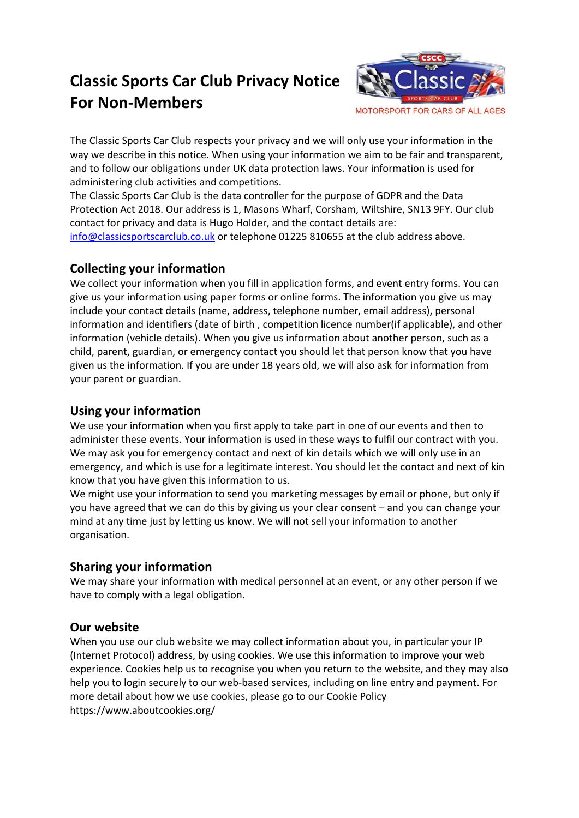# **Classic Sports Car Club Privacy Notice For Non-Members**



The Classic Sports Car Club respects your privacy and we will only use your information in the way we describe in this notice. When using your information we aim to be fair and transparent, and to follow our obligations under UK data protection laws. Your information is used for administering club activities and competitions.

The Classic Sports Car Club is the data controller for the purpose of GDPR and the Data Protection Act 2018. Our address is 1, Masons Wharf, Corsham, Wiltshire, SN13 9FY. Our club contact for privacy and data is Hugo Holder, and the contact details are: info@classicsportscarclub.co.uk or telephone 01225 810655 at the club address above.

## **Collecting your information**

We collect your information when you fill in application forms, and event entry forms. You can give us your information using paper forms or online forms. The information you give us may include your contact details (name, address, telephone number, email address), personal information and identifiers (date of birth , competition licence number(if applicable), and other information (vehicle details). When you give us information about another person, such as a child, parent, guardian, or emergency contact you should let that person know that you have given us the information. If you are under 18 years old, we will also ask for information from your parent or guardian.

## **Using your information**

We use your information when you first apply to take part in one of our events and then to administer these events. Your information is used in these ways to fulfil our contract with you. We may ask you for emergency contact and next of kin details which we will only use in an emergency, and which is use for a legitimate interest. You should let the contact and next of kin know that you have given this information to us.

We might use your information to send you marketing messages by email or phone, but only if you have agreed that we can do this by giving us your clear consent – and you can change your mind at any time just by letting us know. We will not sell your information to another organisation.

## **Sharing your information**

We may share your information with medical personnel at an event, or any other person if we have to comply with a legal obligation.

## **Our website**

When you use our club website we may collect information about you, in particular your IP (Internet Protocol) address, by using cookies. We use this information to improve your web experience. Cookies help us to recognise you when you return to the website, and they may also help you to login securely to our web-based services, including on line entry and payment. For more detail about how we use cookies, please go to our Cookie Policy https://www.aboutcookies.org/